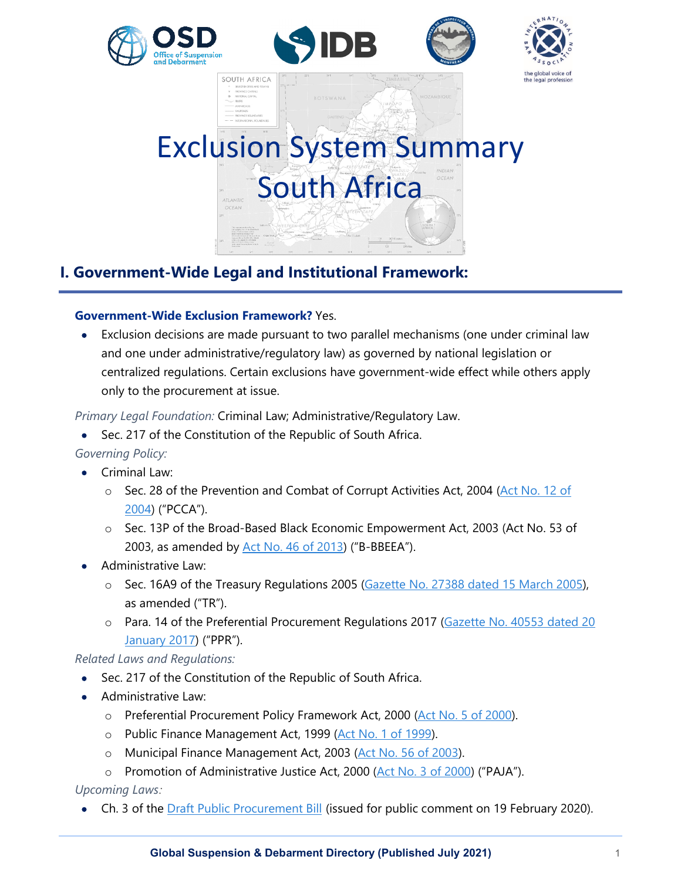







# **I. Government-Wide Legal and Institutional Framework:**

SOUTH AFRICA

### **Government-Wide Exclusion Framework?** Yes.

• Exclusion decisions are made pursuant to two parallel mechanisms (one under criminal law and one under administrative/regulatory law) as governed by national legislation or centralized regulations. Certain exclusions have government-wide effect while others apply only to the procurement at issue.

### *Primary Legal Foundation:* Criminal Law; Administrative/Regulatory Law.

• Sec. 217 of the Constitution of the Republic of South Africa.

# *Governing Policy:*

- Criminal Law:
	- o Sec. 28 of the Prevention and Combat of Corrupt Activities Act, 2004 (Act No. 12 of [2004\)](https://www.gov.za/documents/prevention-and-combating-corrupt-activities-act-0) ("PCCA").
	- o Sec. 13P of the Broad-Based Black Economic Empowerment Act, 2003 (Act No. 53 of 2003, as amended by [Act No. 46 of 2013\)](https://www.gov.za/documents/broad-based-black-economic-empowerment-amendment-act) ("B-BBEEA").
- Administrative Law:
	- o Sec. 16A9 of the Treasury Regulations 2005 [\(Gazette No. 27388 dated 15 March 2005\)](http://www.treasury.gov.za/legislation/pfma/regulations/default.aspx), as amended ("TR").
	- o Para. 14 of the Preferential Procurement Regulations 2017 (Gazette No. 40553 dated 20 [January 2017\)](https://www.gov.za/documents/preferential-procurement-policy-framework-act-regulations-20-jan-2017-0000) ("PPR").

### *Related Laws and Regulations:*

- Sec. 217 of the Constitution of the Republic of South Africa.
- Administrative Law:
	- o Preferential Procurement Policy Framework Act, 2000 [\(Act No. 5 of 2000\)](https://www.gov.za/documents/preferential-procurement-policy-framework-act).
	- o Public Finance Management Act, 1999 [\(Act No. 1 of 1999\)](https://www.gov.za/documents/public-finance-management-act).
	- o Municipal Finance Management Act, 2003 [\(Act No. 56 of 2003\)](https://www.gov.za/documents/local-government-municipal-finance-management-act-0).
	- o Promotion of Administrative Justice Act, 2000 [\(Act No. 3 of 2000\)](https://www.gov.za/documents/promotion-administrative-justice-act) ("PAJA").

### *Upcoming Laws:*

• Ch. 3 of the **Draft Public Procurement Bill** (issued for public comment on 19 February 2020).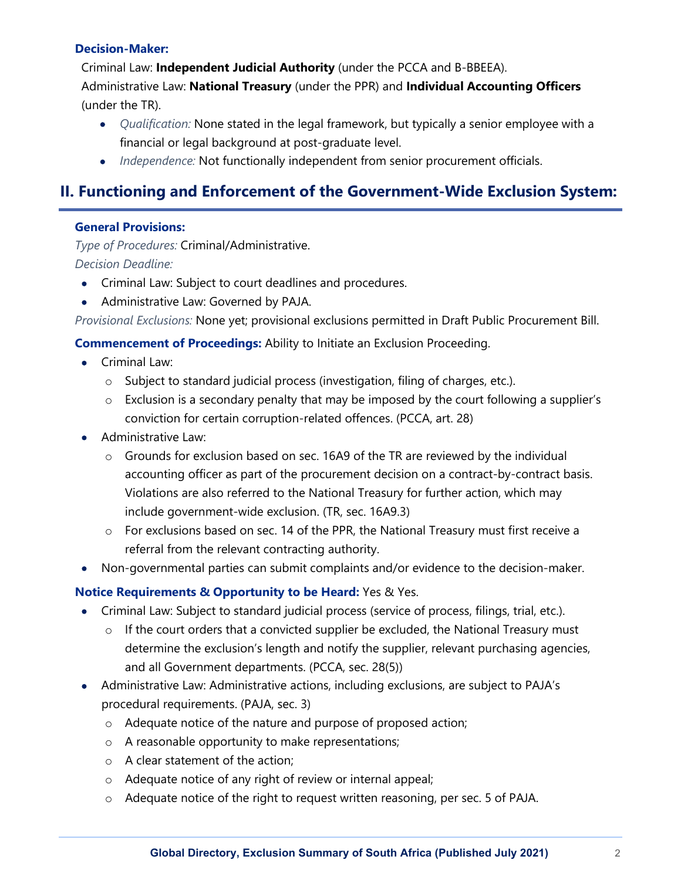#### **Decision-Maker:**

Criminal Law: **Independent Judicial Authority** (under the PCCA and B-BBEEA).

Administrative Law: **National Treasury** (under the PPR) and **Individual Accounting Officers** (under the TR).

- *Qualification:* None stated in the legal framework, but typically a senior employee with a financial or legal background at post-graduate level.
- *Independence:* Not functionally independent from senior procurement officials.

# **II. Functioning and Enforcement of the Government-Wide Exclusion System:**

### **General Provisions:**

*Type of Procedures:* Criminal/Administrative. *Decision Deadline:* 

- Criminal Law: Subject to court deadlines and procedures.
- Administrative Law: Governed by PAJA.

*Provisional Exclusions:* None yet; provisional exclusions permitted in Draft Public Procurement Bill.

**Commencement of Proceedings:** Ability to Initiate an Exclusion Proceeding.

- Criminal Law:
	- o Subject to standard judicial process (investigation, filing of charges, etc.).
	- o Exclusion is a secondary penalty that may be imposed by the court following a supplier's conviction for certain corruption-related offences. (PCCA, art. 28)
- Administrative Law:
	- o Grounds for exclusion based on sec. 16A9 of the TR are reviewed by the individual accounting officer as part of the procurement decision on a contract-by-contract basis. Violations are also referred to the National Treasury for further action, which may include government-wide exclusion. (TR, sec. 16A9.3)
	- o For exclusions based on sec. 14 of the PPR, the National Treasury must first receive a referral from the relevant contracting authority.
- Non-governmental parties can submit complaints and/or evidence to the decision-maker.

# **Notice Requirements & Opportunity to be Heard:** Yes & Yes.

- Criminal Law: Subject to standard judicial process (service of process, filings, trial, etc.).
	- o If the court orders that a convicted supplier be excluded, the National Treasury must determine the exclusion's length and notify the supplier, relevant purchasing agencies, and all Government departments. (PCCA, sec. 28(5))
- Administrative Law: Administrative actions, including exclusions, are subject to PAJA's procedural requirements. (PAJA, sec. 3)
	- o Adequate notice of the nature and purpose of proposed action;
	- o A reasonable opportunity to make representations;
	- o A clear statement of the action;
	- o Adequate notice of any right of review or internal appeal;
	- o Adequate notice of the right to request written reasoning, per sec. 5 of PAJA.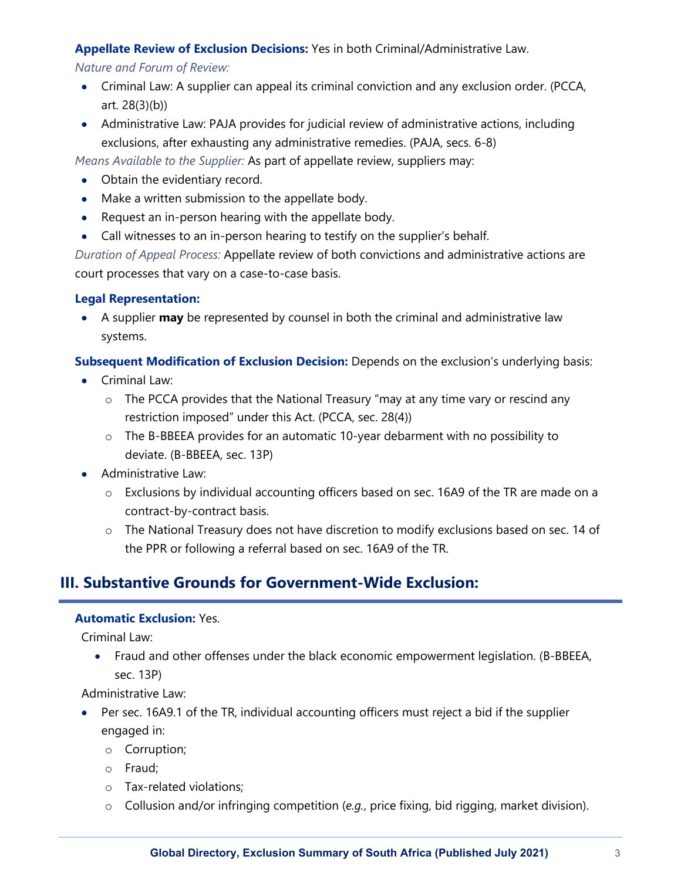### **Appellate Review of Exclusion Decisions:** Yes in both Criminal/Administrative Law.

*Nature and Forum of Review:* 

- Criminal Law: A supplier can appeal its criminal conviction and any exclusion order. (PCCA, art. 28(3)(b))
- Administrative Law: PAJA provides for judicial review of administrative actions, including exclusions, after exhausting any administrative remedies. (PAJA, secs. 6-8)

*Means Available to the Supplier:* As part of appellate review, suppliers may:

- Obtain the evidentiary record.
- Make a written submission to the appellate body.
- Request an in-person hearing with the appellate body.
- Call witnesses to an in-person hearing to testify on the supplier's behalf.

*Duration of Appeal Process:* Appellate review of both convictions and administrative actions are court processes that vary on a case-to-case basis.

### **Legal Representation:**

• A supplier **may** be represented by counsel in both the criminal and administrative law systems.

**Subsequent Modification of Exclusion Decision:** Depends on the exclusion's underlying basis:

- Criminal Law:
	- o The PCCA provides that the National Treasury "may at any time vary or rescind any restriction imposed" under this Act. (PCCA, sec. 28(4))
	- o The B-BBEEA provides for an automatic 10-year debarment with no possibility to deviate. (B-BBEEA, sec. 13P)
- Administrative Law:
	- o Exclusions by individual accounting officers based on sec. 16A9 of the TR are made on a contract-by-contract basis.
	- o The National Treasury does not have discretion to modify exclusions based on sec. 14 of the PPR or following a referral based on sec. 16A9 of the TR.

# **III. Substantive Grounds for Government-Wide Exclusion:**

### **Automatic Exclusion:** Yes.

Criminal Law:

• Fraud and other offenses under the black economic empowerment legislation. (B-BBEEA, sec. 13P)

Administrative Law:

- Per sec. 16A9.1 of the TR, individual accounting officers must reject a bid if the supplier engaged in:
	- o Corruption;
	- o Fraud;
	- o Tax-related violations;
	- o Collusion and/or infringing competition (*e.g.*, price fixing, bid rigging, market division).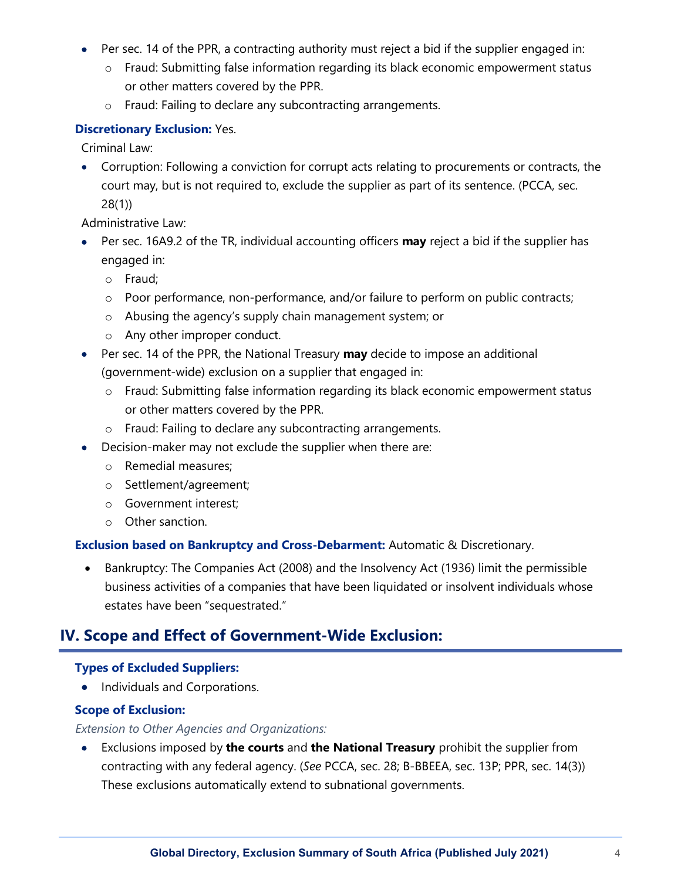- Per sec. 14 of the PPR, a contracting authority must reject a bid if the supplier engaged in:
	- o Fraud: Submitting false information regarding its black economic empowerment status or other matters covered by the PPR.
	- o Fraud: Failing to declare any subcontracting arrangements.

### **Discretionary Exclusion:** Yes.

Criminal Law:

• Corruption: Following a conviction for corrupt acts relating to procurements or contracts, the court may, but is not required to, exclude the supplier as part of its sentence. (PCCA, sec. 28(1))

Administrative Law:

- Per sec. 16A9.2 of the TR, individual accounting officers **may** reject a bid if the supplier has engaged in:
	- o Fraud;
	- o Poor performance, non-performance, and/or failure to perform on public contracts;
	- o Abusing the agency's supply chain management system; or
	- o Any other improper conduct.
- Per sec. 14 of the PPR, the National Treasury **may** decide to impose an additional (government-wide) exclusion on a supplier that engaged in:
	- o Fraud: Submitting false information regarding its black economic empowerment status or other matters covered by the PPR.
	- o Fraud: Failing to declare any subcontracting arrangements.
- Decision-maker may not exclude the supplier when there are:
	- o Remedial measures;
	- o Settlement/agreement;
	- o Government interest;
	- o Other sanction.

#### **Exclusion based on Bankruptcy and Cross-Debarment:** Automatic & Discretionary.

• Bankruptcy: The Companies Act (2008) and the Insolvency Act (1936) limit the permissible business activities of a companies that have been liquidated or insolvent individuals whose estates have been "sequestrated."

# **IV. Scope and Effect of Government-Wide Exclusion:**

### **Types of Excluded Suppliers:**

• Individuals and Corporations.

### **Scope of Exclusion:**

#### *Extension to Other Agencies and Organizations:*

• Exclusions imposed by **the courts** and **the National Treasury** prohibit the supplier from contracting with any federal agency. (*See* PCCA, sec. 28; B-BBEEA, sec. 13P; PPR, sec. 14(3)) These exclusions automatically extend to subnational governments.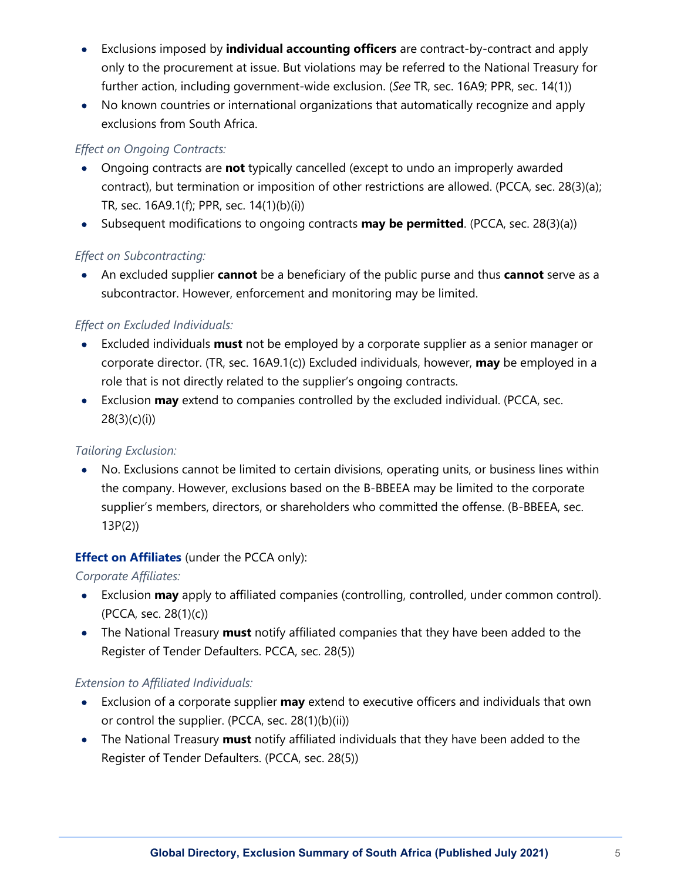- Exclusions imposed by **individual accounting officers** are contract-by-contract and apply only to the procurement at issue. But violations may be referred to the National Treasury for further action, including government-wide exclusion. (*See* TR, sec. 16A9; PPR, sec. 14(1))
- No known countries or international organizations that automatically recognize and apply exclusions from South Africa.

### *Effect on Ongoing Contracts:*

- Ongoing contracts are **not** typically cancelled (except to undo an improperly awarded contract), but termination or imposition of other restrictions are allowed. (PCCA, sec. 28(3)(a); TR, sec. 16A9.1(f); PPR, sec. 14(1)(b)(i))
- Subsequent modifications to ongoing contracts **may be permitted**. (PCCA, sec. 28(3)(a))

# *Effect on Subcontracting:*

• An excluded supplier **cannot** be a beneficiary of the public purse and thus **cannot** serve as a subcontractor. However, enforcement and monitoring may be limited.

# *Effect on Excluded Individuals:*

- Excluded individuals **must** not be employed by a corporate supplier as a senior manager or corporate director. (TR, sec. 16A9.1(c)) Excluded individuals, however, **may** be employed in a role that is not directly related to the supplier's ongoing contracts.
- Exclusion **may** extend to companies controlled by the excluded individual. (PCCA, sec.  $28(3)(c)(i)$

# *Tailoring Exclusion:*

• No. Exclusions cannot be limited to certain divisions, operating units, or business lines within the company. However, exclusions based on the B-BBEEA may be limited to the corporate supplier's members, directors, or shareholders who committed the offense. (B-BBEEA, sec. 13P(2))

# **Effect on Affiliates** (under the PCCA only):

*Corporate Affiliates:*

- Exclusion **may** apply to affiliated companies (controlling, controlled, under common control). (PCCA, sec. 28(1)(c))
- The National Treasury **must** notify affiliated companies that they have been added to the Register of Tender Defaulters. PCCA, sec. 28(5))

# *Extension to Affiliated Individuals:*

- Exclusion of a corporate supplier **may** extend to executive officers and individuals that own or control the supplier. (PCCA, sec. 28(1)(b)(ii))
- The National Treasury **must** notify affiliated individuals that they have been added to the Register of Tender Defaulters. (PCCA, sec. 28(5))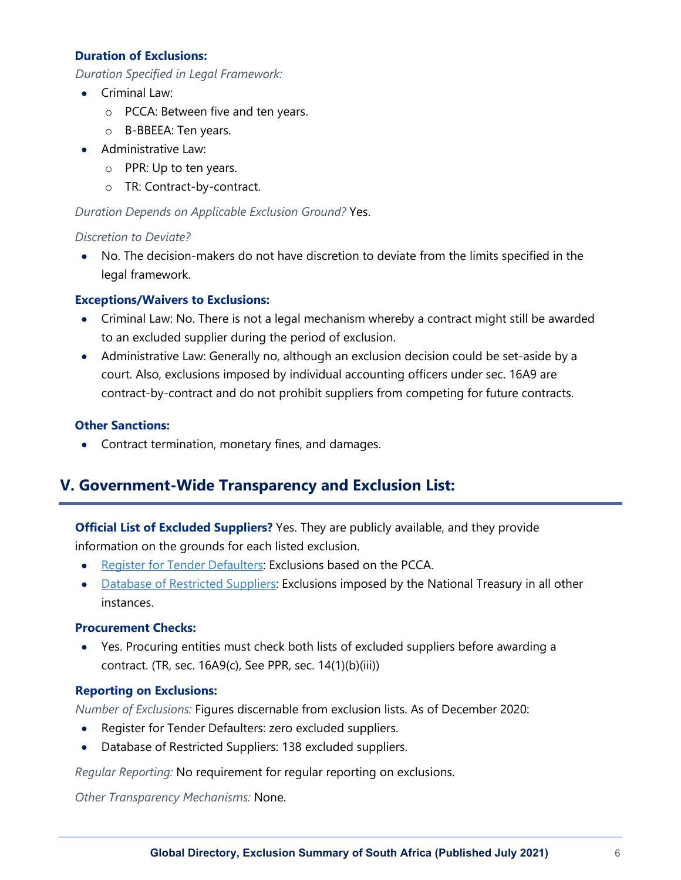#### **Duration of Exclusions:**

*Duration Specified in Legal Framework:*

- Criminal Law:
	- o PCCA: Between five and ten years.
	- o B-BBEEA: Ten years.
- Administrative Law:
	- o PPR: Up to ten years.
	- o TR: Contract-by-contract.

# *Duration Depends on Applicable Exclusion Ground?* Yes.

### *Discretion to Deviate?*

• No. The decision-makers do not have discretion to deviate from the limits specified in the legal framework.

# **Exceptions/Waivers to Exclusions:**

- Criminal Law: No. There is not a legal mechanism whereby a contract might still be awarded to an excluded supplier during the period of exclusion.
- Administrative Law: Generally no, although an exclusion decision could be set-aside by a court. Also, exclusions imposed by individual accounting officers under sec. 16A9 are contract-by-contract and do not prohibit suppliers from competing for future contracts.

# **Other Sanctions:**

• Contract termination, monetary fines, and damages.

# **V. Government-Wide Transparency and Exclusion List:**

# **Official List of Excluded Suppliers?** Yes. They are publicly available, and they provide

information on the grounds for each listed exclusion.

- [Register for Tender Defaulters:](http://www.treasury.gov.za/publications/other/Register%20for%20Tender%20Defaulters.pdf) Exclusions based on the PCCA.
- [Database of Restricted Suppliers:](http://www.treasury.gov.za/publications/other/Database%20of%20Restricted%20Suppliers.pdf) Exclusions imposed by the National Treasury in all other instances.

# **Procurement Checks:**

• Yes. Procuring entities must check both lists of excluded suppliers before awarding a contract. (TR, sec. 16A9(c), See PPR, sec. 14(1)(b)(iii))

# **Reporting on Exclusions:**

*Number of Exclusions:* Figures discernable from exclusion lists. As of December 2020:

- Register for Tender Defaulters: zero excluded suppliers.
- Database of Restricted Suppliers: 138 excluded suppliers.

*Regular Reporting:* No requirement for regular reporting on exclusions.

*Other Transparency Mechanisms:* None.